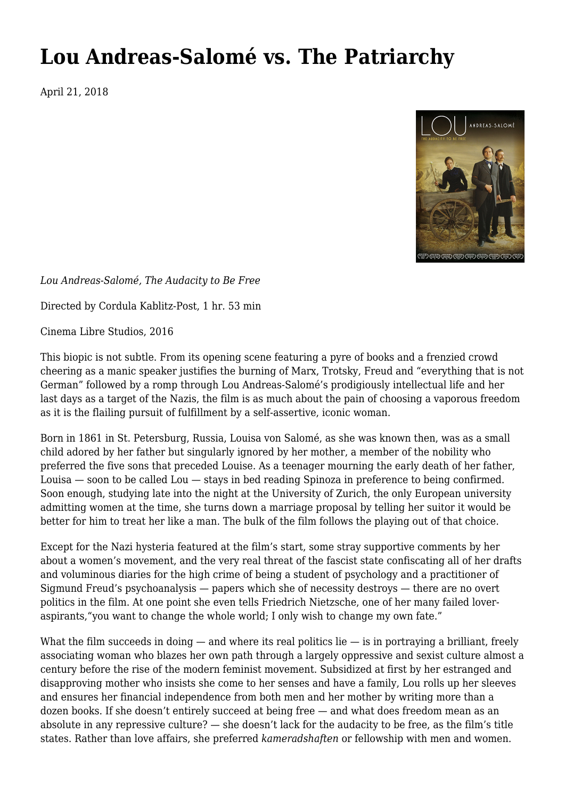## **[Lou Andreas-Salomé vs. The Patriarchy](https://newpol.org/lou-andreas-salome-vs-the-patriarchy/)**

April 21, 2018



*Lou Andreas-Salomé, The Audacity to Be Free*

Directed by Cordula Kablitz-Post, 1 hr. 53 min

Cinema Libre Studios, 2016

This biopic is not subtle. From its opening scene featuring a pyre of books and a frenzied crowd cheering as a manic speaker justifies the burning of Marx, Trotsky, Freud and "everything that is not German" followed by a romp through Lou Andreas-Salomé's prodigiously intellectual life and her last days as a target of the Nazis, the film is as much about the pain of choosing a vaporous freedom as it is the flailing pursuit of fulfillment by a self-assertive, iconic woman.

Born in 1861 in St. Petersburg, Russia, Louisa von Salomé, as she was known then, was as a small child adored by her father but singularly ignored by her mother, a member of the nobility who preferred the five sons that preceded Louise. As a teenager mourning the early death of her father, Louisa — soon to be called Lou — stays in bed reading Spinoza in preference to being confirmed. Soon enough, studying late into the night at the University of Zurich, the only European university admitting women at the time, she turns down a marriage proposal by telling her suitor it would be better for him to treat her like a man. The bulk of the film follows the playing out of that choice.

Except for the Nazi hysteria featured at the film's start, some stray supportive comments by her about a women's movement, and the very real threat of the fascist state confiscating all of her drafts and voluminous diaries for the high crime of being a student of psychology and a practitioner of Sigmund Freud's psychoanalysis — papers which she of necessity destroys — there are no overt politics in the film. At one point she even tells [Friedrich Nietzsche,](https://en.wikipedia.org/wiki/Friedrich_Nietzsche) one of her many failed loveraspirants,"you want to change the whole world; I only wish to change my own fate."

What the film succeeds in doing  $-$  and where its real politics lie  $-$  is in portraying a brilliant, freely associating woman who blazes her own path through a largely oppressive and sexist culture almost a century before the rise of the modern feminist movement. Subsidized at first by her estranged and disapproving mother who insists she come to her senses and have a family, Lou rolls up her sleeves and ensures her financial independence from both men and her mother by writing more than a dozen books. If she doesn't entirely succeed at being free — and what does freedom mean as an absolute in any repressive culture? — she doesn't lack for the audacity to be free, as the film's title states. Rather than love affairs, she preferred *kameradshaften* or fellowship with men and women.